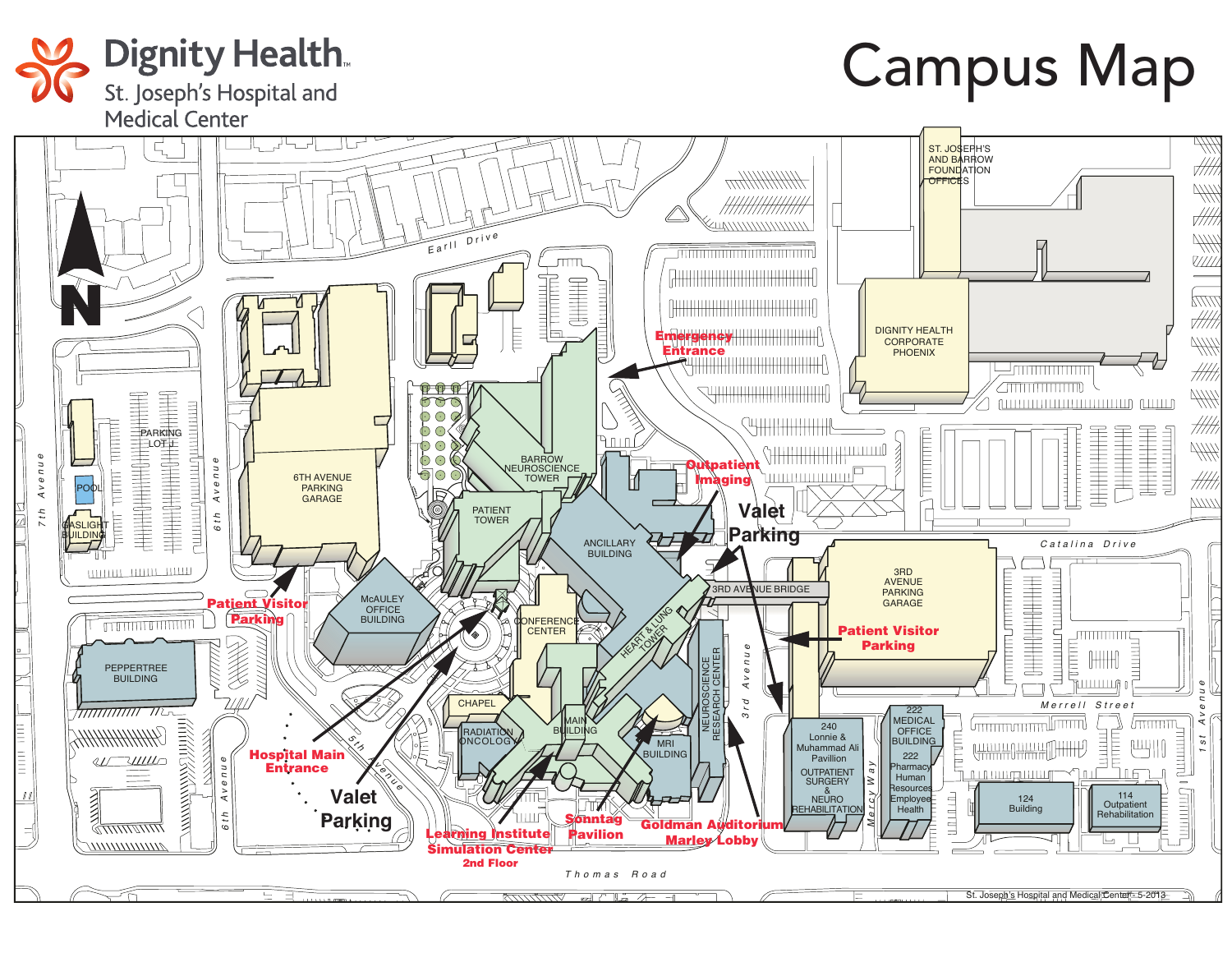

## Campus Map